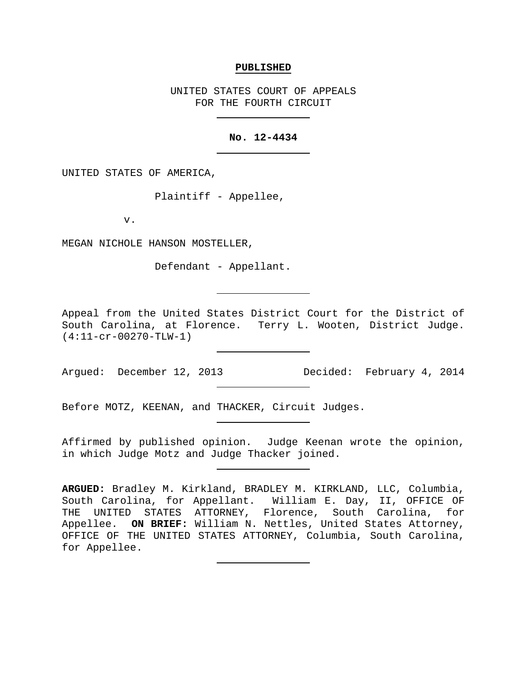## **PUBLISHED**

UNITED STATES COURT OF APPEALS FOR THE FOURTH CIRCUIT

## **No. 12-4434**

UNITED STATES OF AMERICA,

Plaintiff - Appellee,

v.

MEGAN NICHOLE HANSON MOSTELLER,

Defendant - Appellant.

Appeal from the United States District Court for the District of South Carolina, at Florence. Terry L. Wooten, District Judge. (4:11-cr-00270-TLW-1)

Argued: December 12, 2013 Decided: February 4, 2014

Before MOTZ, KEENAN, and THACKER, Circuit Judges.

Affirmed by published opinion. Judge Keenan wrote the opinion, in which Judge Motz and Judge Thacker joined.

**ARGUED:** Bradley M. Kirkland, BRADLEY M. KIRKLAND, LLC, Columbia, South Carolina, for Appellant. William E. Day, II, OFFICE OF THE UNITED STATES ATTORNEY, Florence, South Carolina, for Appellee.**ON BRIEF:** William N. Nettles, United States Attorney, OFFICE OF THE UNITED STATES ATTORNEY, Columbia, South Carolina, for Appellee.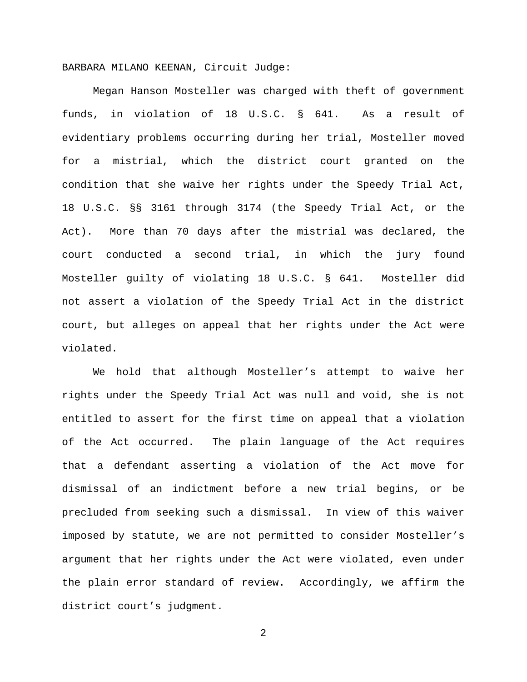BARBARA MILANO KEENAN, Circuit Judge:

Megan Hanson Mosteller was charged with theft of government funds, in violation of 18 U.S.C. § 641. As a result of evidentiary problems occurring during her trial, Mosteller moved for a mistrial, which the district court granted on the condition that she waive her rights under the Speedy Trial Act, 18 U.S.C. §§ 3161 through 3174 (the Speedy Trial Act, or the Act). More than 70 days after the mistrial was declared, the court conducted a second trial, in which the jury found Mosteller guilty of violating 18 U.S.C. § 641. Mosteller did not assert a violation of the Speedy Trial Act in the district court, but alleges on appeal that her rights under the Act were violated.

We hold that although Mosteller's attempt to waive her rights under the Speedy Trial Act was null and void, she is not entitled to assert for the first time on appeal that a violation of the Act occurred. The plain language of the Act requires that a defendant asserting a violation of the Act move for dismissal of an indictment before a new trial begins, or be precluded from seeking such a dismissal. In view of this waiver imposed by statute, we are not permitted to consider Mosteller's argument that her rights under the Act were violated, even under the plain error standard of review. Accordingly, we affirm the district court's judgment.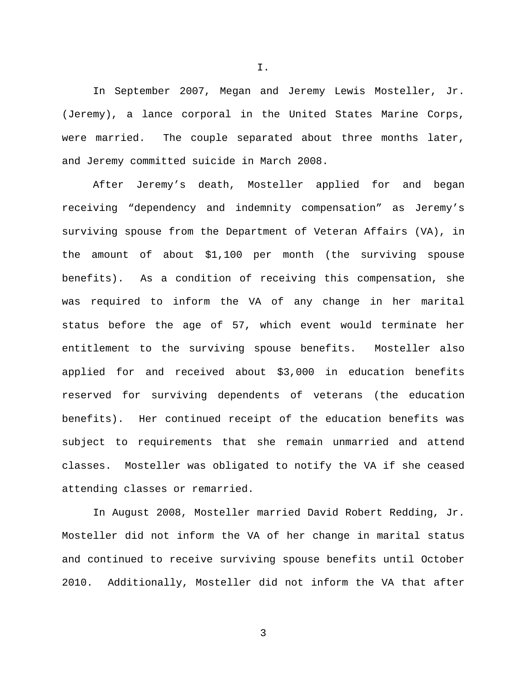In September 2007, Megan and Jeremy Lewis Mosteller, Jr. (Jeremy), a lance corporal in the United States Marine Corps, were married. The couple separated about three months later, and Jeremy committed suicide in March 2008.

I.

After Jeremy's death, Mosteller applied for and began receiving "dependency and indemnity compensation" as Jeremy's surviving spouse from the Department of Veteran Affairs (VA), in the amount of about \$1,100 per month (the surviving spouse benefits). As a condition of receiving this compensation, she was required to inform the VA of any change in her marital status before the age of 57, which event would terminate her entitlement to the surviving spouse benefits. Mosteller also applied for and received about \$3,000 in education benefits reserved for surviving dependents of veterans (the education benefits). Her continued receipt of the education benefits was subject to requirements that she remain unmarried and attend classes. Mosteller was obligated to notify the VA if she ceased attending classes or remarried.

In August 2008, Mosteller married David Robert Redding, Jr. Mosteller did not inform the VA of her change in marital status and continued to receive surviving spouse benefits until October 2010. Additionally, Mosteller did not inform the VA that after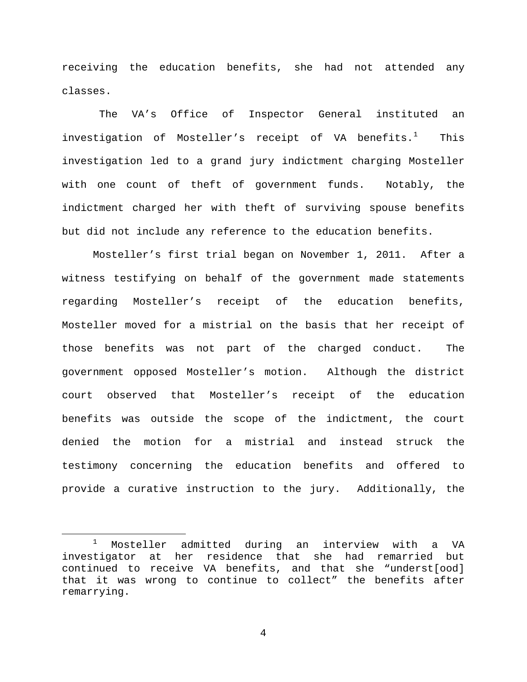receiving the education benefits, she had not attended any classes.

The VA's Office of Inspector General instituted an investigation of Mosteller's receipt of VA benefits. $^1$  $^1$  This investigation led to a grand jury indictment charging Mosteller with one count of theft of government funds. Notably, the indictment charged her with theft of surviving spouse benefits but did not include any reference to the education benefits.

Mosteller's first trial began on November 1, 2011. After a witness testifying on behalf of the government made statements regarding Mosteller's receipt of the education benefits, Mosteller moved for a mistrial on the basis that her receipt of those benefits was not part of the charged conduct. The government opposed Mosteller's motion. Although the district court observed that Mosteller's receipt of the education benefits was outside the scope of the indictment, the court denied the motion for a mistrial and instead struck the testimony concerning the education benefits and offered to provide a curative instruction to the jury. Additionally, the

<span id="page-3-0"></span> <sup>1</sup> Mosteller admitted during an interview with a VA investigator at her residence that she had remarried but continued to receive VA benefits, and that she "underst[ood] that it was wrong to continue to collect" the benefits after remarrying.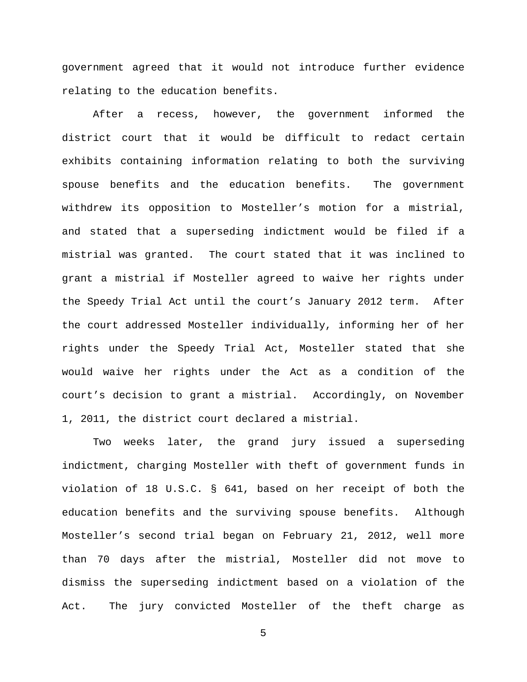government agreed that it would not introduce further evidence relating to the education benefits.

After a recess, however, the government informed the district court that it would be difficult to redact certain exhibits containing information relating to both the surviving spouse benefits and the education benefits. The government withdrew its opposition to Mosteller's motion for a mistrial, and stated that a superseding indictment would be filed if a mistrial was granted. The court stated that it was inclined to grant a mistrial if Mosteller agreed to waive her rights under the Speedy Trial Act until the court's January 2012 term. After the court addressed Mosteller individually, informing her of her rights under the Speedy Trial Act, Mosteller stated that she would waive her rights under the Act as a condition of the court's decision to grant a mistrial. Accordingly, on November 1, 2011, the district court declared a mistrial.

Two weeks later, the grand jury issued a superseding indictment, charging Mosteller with theft of government funds in violation of 18 U.S.C. § 641, based on her receipt of both the education benefits and the surviving spouse benefits. Although Mosteller's second trial began on February 21, 2012, well more than 70 days after the mistrial, Mosteller did not move to dismiss the superseding indictment based on a violation of the Act. The jury convicted Mosteller of the theft charge as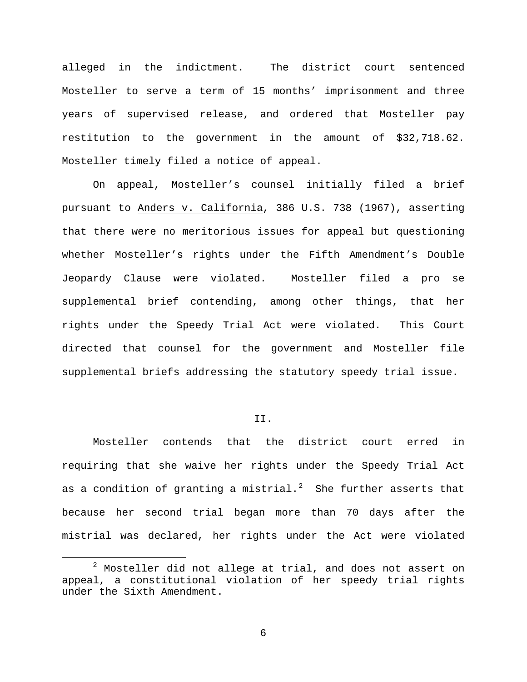alleged in the indictment. The district court sentenced Mosteller to serve a term of 15 months' imprisonment and three years of supervised release, and ordered that Mosteller pay restitution to the government in the amount of \$32,718.62. Mosteller timely filed a notice of appeal.

On appeal, Mosteller's counsel initially filed a brief pursuant to Anders v. California, 386 U.S. 738 (1967), asserting that there were no meritorious issues for appeal but questioning whether Mosteller's rights under the Fifth Amendment's Double Jeopardy Clause were violated. Mosteller filed a pro se supplemental brief contending, among other things, that her rights under the Speedy Trial Act were violated. This Court directed that counsel for the government and Mosteller file supplemental briefs addressing the statutory speedy trial issue.

## II.

Mosteller contends that the district court erred in requiring that she waive her rights under the Speedy Trial Act as a condition of granting a mistrial. $^2$  $^2$  She further asserts that because her second trial began more than 70 days after the mistrial was declared, her rights under the Act were violated

<span id="page-5-0"></span> $2$  Mosteller did not allege at trial, and does not assert on appeal, a constitutional violation of her speedy trial rights under the Sixth Amendment.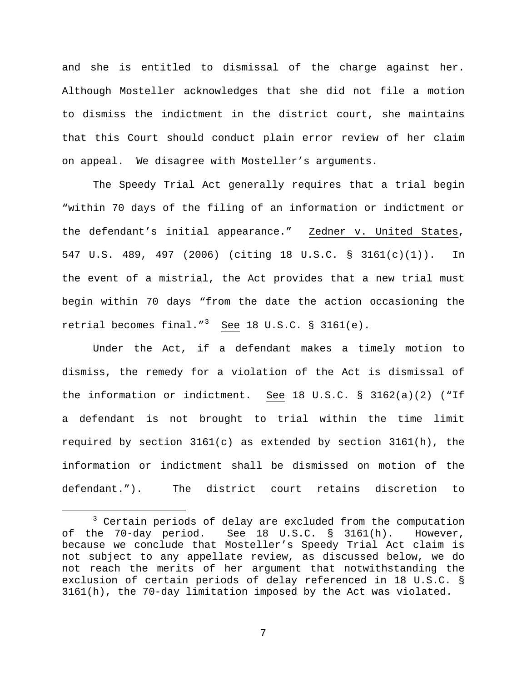and she is entitled to dismissal of the charge against her. Although Mosteller acknowledges that she did not file a motion to dismiss the indictment in the district court, she maintains that this Court should conduct plain error review of her claim on appeal. We disagree with Mosteller's arguments.

The Speedy Trial Act generally requires that a trial begin "within 70 days of the filing of an information or indictment or the defendant's initial appearance." Zedner v. United States, 547 U.S. 489, 497 (2006) (citing 18 U.S.C. § 3161(c)(1)). In the event of a mistrial, the Act provides that a new trial must begin within 70 days "from the date the action occasioning the retrial becomes final."<sup>[3](#page-6-0)</sup> See 18 U.S.C. § 3161(e).

Under the Act, if a defendant makes a timely motion to dismiss, the remedy for a violation of the Act is dismissal of the information or indictment. See 18 U.S.C. § 3162(a)(2) ("If a defendant is not brought to trial within the time limit required by section  $3161(c)$  as extended by section  $3161(h)$ , the information or indictment shall be dismissed on motion of the defendant."). The district court retains discretion to

<span id="page-6-0"></span> <sup>3</sup> Certain periods of delay are excluded from the computation of the 70-day period. See 18 U.S.C. § 3161(h). However, because we conclude that Mosteller's Speedy Trial Act claim is not subject to any appellate review, as discussed below, we do not reach the merits of her argument that notwithstanding the exclusion of certain periods of delay referenced in 18 U.S.C. § 3161(h), the 70-day limitation imposed by the Act was violated.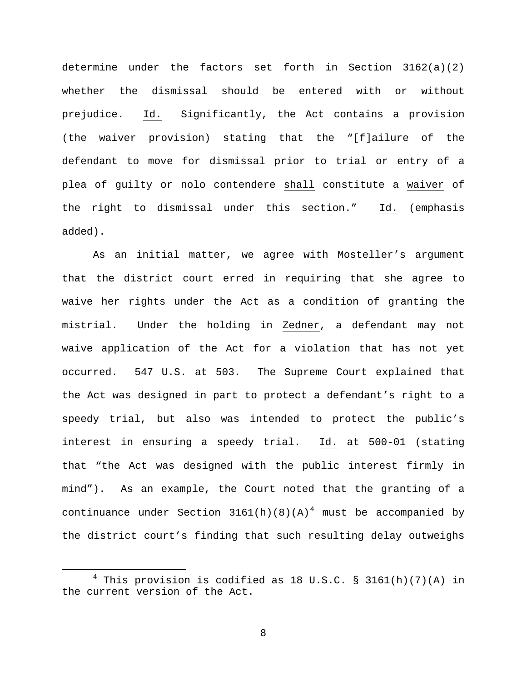determine under the factors set forth in Section  $3162(a)(2)$ whether the dismissal should be entered with or without prejudice. Id. Significantly, the Act contains a provision (the waiver provision) stating that the "[f]ailure of the defendant to move for dismissal prior to trial or entry of a plea of guilty or nolo contendere shall constitute a waiver of the right to dismissal under this section." Id. (emphasis added).

As an initial matter, we agree with Mosteller's argument that the district court erred in requiring that she agree to waive her rights under the Act as a condition of granting the mistrial. Under the holding in Zedner, a defendant may not waive application of the Act for a violation that has not yet occurred. 547 U.S. at 503. The Supreme Court explained that the Act was designed in part to protect a defendant's right to a speedy trial, but also was intended to protect the public's interest in ensuring a speedy trial. Id. at 500-01 (stating that "the Act was designed with the public interest firmly in mind"). As an example, the Court noted that the granting of a continuance under Section  $3161(h)(8)(A)^4$  $3161(h)(8)(A)^4$  must be accompanied by the district court's finding that such resulting delay outweighs

<span id="page-7-0"></span> $4$  This provision is codified as 18 U.S.C. § 3161(h)(7)(A) in the current version of the Act.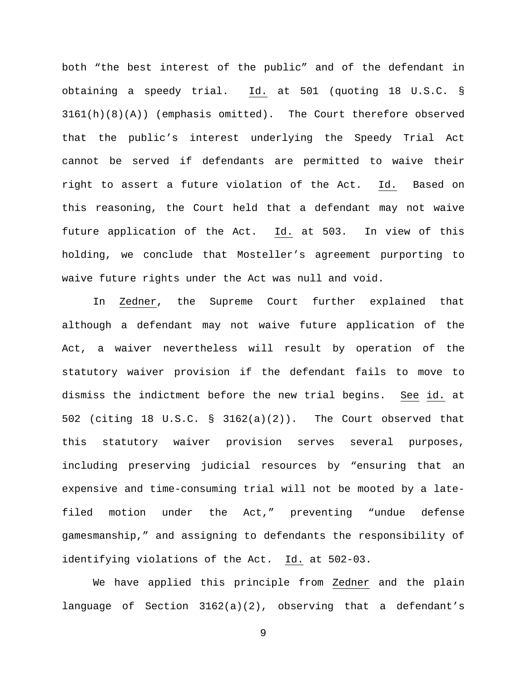both "the best interest of the public" and of the defendant in obtaining a speedy trial. Id. at 501 (quoting 18 U.S.C. § 3161(h)(8)(A)) (emphasis omitted). The Court therefore observed that the public's interest underlying the Speedy Trial Act cannot be served if defendants are permitted to waive their right to assert a future violation of the Act. Id. Based on this reasoning, the Court held that a defendant may not waive future application of the Act. Id. at 503. In view of this holding, we conclude that Mosteller's agreement purporting to waive future rights under the Act was null and void.

In Zedner, the Supreme Court further explained that although a defendant may not waive future application of the Act, a waiver nevertheless will result by operation of the statutory waiver provision if the defendant fails to move to dismiss the indictment before the new trial begins. See id. at 502 (citing 18 U.S.C. § 3162(a)(2)). The Court observed that this statutory waiver provision serves several purposes, including preserving judicial resources by "ensuring that an expensive and time-consuming trial will not be mooted by a latefiled motion under the Act," preventing "undue defense gamesmanship," and assigning to defendants the responsibility of identifying violations of the Act. Id. at 502-03.

We have applied this principle from Zedner and the plain language of Section 3162(a)(2), observing that a defendant's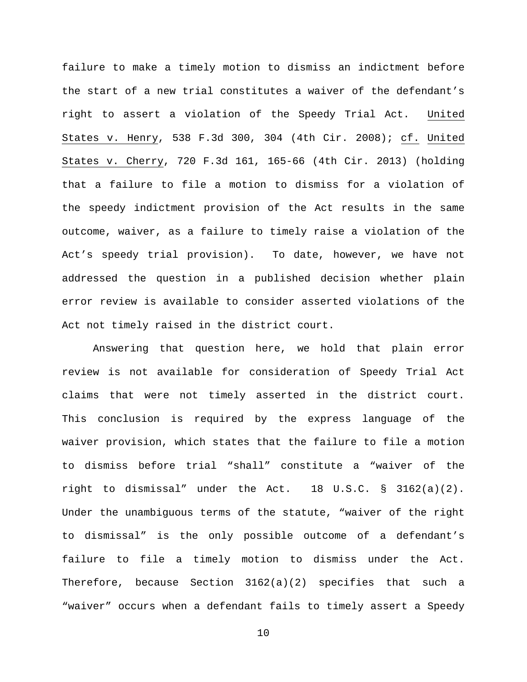failure to make a timely motion to dismiss an indictment before the start of a new trial constitutes a waiver of the defendant's right to assert a violation of the Speedy Trial Act. United States v. Henry, 538 F.3d 300, 304 (4th Cir. 2008); cf. United States v. Cherry, 720 F.3d 161, 165-66 (4th Cir. 2013) (holding that a failure to file a motion to dismiss for a violation of the speedy indictment provision of the Act results in the same outcome, waiver, as a failure to timely raise a violation of the Act's speedy trial provision). To date, however, we have not addressed the question in a published decision whether plain error review is available to consider asserted violations of the Act not timely raised in the district court.

Answering that question here, we hold that plain error review is not available for consideration of Speedy Trial Act claims that were not timely asserted in the district court. This conclusion is required by the express language of the waiver provision, which states that the failure to file a motion to dismiss before trial "shall" constitute a "waiver of the right to dismissal" under the Act. 18 U.S.C. § 3162(a)(2). Under the unambiguous terms of the statute, "waiver of the right to dismissal" is the only possible outcome of a defendant's failure to file a timely motion to dismiss under the Act. Therefore, because Section  $3162(a)(2)$  specifies that such a "waiver" occurs when a defendant fails to timely assert a Speedy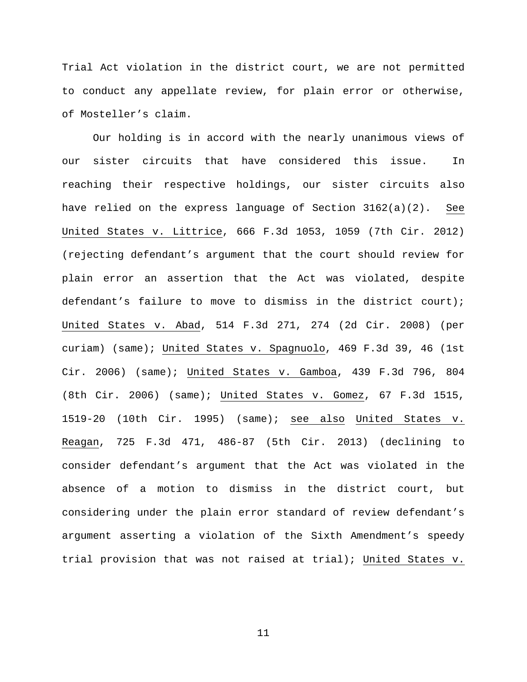Trial Act violation in the district court, we are not permitted to conduct any appellate review, for plain error or otherwise, of Mosteller's claim.

Our holding is in accord with the nearly unanimous views of our sister circuits that have considered this issue. In reaching their respective holdings, our sister circuits also have relied on the express language of Section 3162(a)(2). See United States v. Littrice, 666 F.3d 1053, 1059 (7th Cir. 2012) (rejecting defendant's argument that the court should review for plain error an assertion that the Act was violated, despite defendant's failure to move to dismiss in the district court); United States v. Abad, 514 F.3d 271, 274 (2d Cir. 2008) (per curiam) (same); United States v. Spagnuolo, 469 F.3d 39, 46 (1st Cir. 2006) (same); United States v. Gamboa, 439 F.3d 796, 804 (8th Cir. 2006) (same); United States v. Gomez, 67 F.3d 1515, 1519-20 (10th Cir. 1995) (same); see also United States v. Reagan, 725 F.3d 471, 486-87 (5th Cir. 2013) (declining to consider defendant's argument that the Act was violated in the absence of a motion to dismiss in the district court, but considering under the plain error standard of review defendant's argument asserting a violation of the Sixth Amendment's speedy trial provision that was not raised at trial); United States v.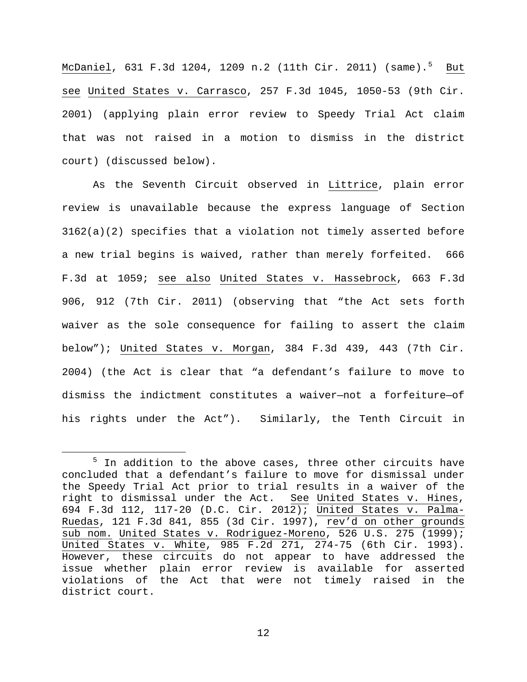<u>McDaniel</u>, 631 F.3d 1204, 1209 n.2 (11th Cir. 2011) (same).<sup>[5](#page-11-0)</sup> <u>But</u> see United States v. Carrasco, 257 F.3d 1045, 1050-53 (9th Cir. 2001) (applying plain error review to Speedy Trial Act claim that was not raised in a motion to dismiss in the district court) (discussed below).

As the Seventh Circuit observed in Littrice, plain error review is unavailable because the express language of Section 3162(a)(2) specifies that a violation not timely asserted before a new trial begins is waived, rather than merely forfeited. 666 F.3d at 1059; see also United States v. Hassebrock, 663 F.3d 906, 912 (7th Cir. 2011) (observing that "the Act sets forth waiver as the sole consequence for failing to assert the claim below"); United States v. Morgan, 384 F.3d 439, 443 (7th Cir. 2004) (the Act is clear that "a defendant's failure to move to dismiss the indictment constitutes a waiver—not a forfeiture—of his rights under the Act"). Similarly, the Tenth Circuit in

<span id="page-11-0"></span> $5$  In addition to the above cases, three other circuits have concluded that a defendant's failure to move for dismissal under the Speedy Trial Act prior to trial results in a waiver of the right to dismissal under the Act. See United States v. Hines, 694 F.3d 112, 117-20 (D.C. Cir. 2012); United States v. Palma-Ruedas, 121 F.3d 841, 855 (3d Cir. 1997), rev'd on other grounds sub nom. United States v. Rodriguez-Moreno, 526 U.S. 275 (1999); United States v. White, 985 F.2d 271, 274-75 (6th Cir. 1993). However, these circuits do not appear to have addressed the issue whether plain error review is available for asserted violations of the Act that were not timely raised in the district court.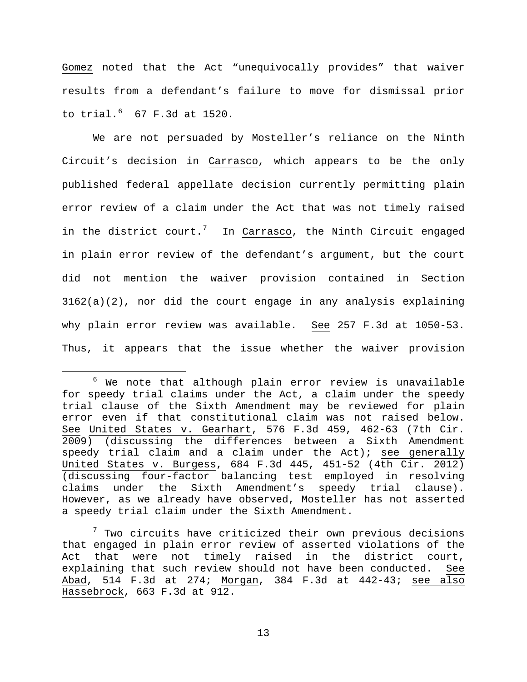Gomez noted that the Act "unequivocally provides" that waiver results from a defendant's failure to move for dismissal prior to trial. $67$  $67$  F.3d at 1520.

We are not persuaded by Mosteller's reliance on the Ninth Circuit's decision in Carrasco, which appears to be the only published federal appellate decision currently permitting plain error review of a claim under the Act that was not timely raised in the district court.<sup>[7](#page-12-1)</sup> In <u>Carrasco</u>, the Ninth Circuit engaged in plain error review of the defendant's argument, but the court did not mention the waiver provision contained in Section  $3162(a)(2)$ , nor did the court engage in any analysis explaining why plain error review was available. See 257 F.3d at 1050-53. Thus, it appears that the issue whether the waiver provision

<span id="page-12-0"></span> $6$  We note that although plain error review is unavailable for speedy trial claims under the Act, a claim under the speedy trial clause of the Sixth Amendment may be reviewed for plain error even if that constitutional claim was not raised below. See United States v. Gearhart, 576 F.3d 459, 462-63 (7th Cir. 2009) (discussing the differences between a Sixth Amendment speedy trial claim and a claim under the  $Act$ ; see generally United States v. Burgess, 684 F.3d 445, 451-52 (4th Cir. 2012) (discussing four-factor balancing test employed in resolving claims under the Sixth Amendment's speedy trial clause). However, as we already have observed, Mosteller has not asserted a speedy trial claim under the Sixth Amendment.

<span id="page-12-1"></span> $7$  Two circuits have criticized their own previous decisions that engaged in plain error review of asserted violations of the Act that were not timely raised in the district court, explaining that such review should not have been conducted. See Abad, 514 F.3d at 274; Morgan, 384 F.3d at 442-43; see also Hassebrock, 663 F.3d at 912.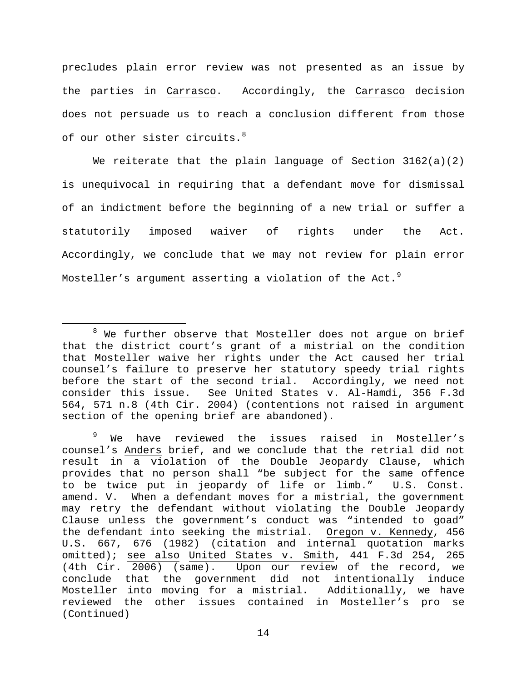precludes plain error review was not presented as an issue by the parties in Carrasco. Accordingly, the Carrasco decision does not persuade us to reach a conclusion different from those of our other sister circuits.<sup>[8](#page-13-0)</sup>

We reiterate that the plain language of Section  $3162(a)(2)$ is unequivocal in requiring that a defendant move for dismissal of an indictment before the beginning of a new trial or suffer a statutorily imposed waiver of rights under the Act. Accordingly, we conclude that we may not review for plain error Mosteller's argument asserting a violation of the Act.<sup>[9](#page-13-1)</sup>

<span id="page-13-0"></span> $8$  We further observe that Mosteller does not argue on brief that the district court's grant of a mistrial on the condition that Mosteller waive her rights under the Act caused her trial counsel's failure to preserve her statutory speedy trial rights before the start of the second trial. Accordingly, we need not consider this issue. See United States v. Al-Hamdi, 356 F.3d 564, 571 n.8 (4th Cir. 2004) (contentions not raised in argument section of the opening brief are abandoned).

<span id="page-13-1"></span><sup>&</sup>lt;sup>9</sup> We have reviewed the issues raised in Mosteller's counsel's Anders brief, and we conclude that the retrial did not result in a violation of the Double Jeopardy Clause, which provides that no person shall "be subject for the same offence<br>to be twice put in jeopardy of life or limb." U.S. Const. to be twice put in jeopardy of life or limb." amend. V. When a defendant moves for a mistrial, the government may retry the defendant without violating the Double Jeopardy Clause unless the government's conduct was "intended to goad" the defendant into seeking the mistrial. Oregon v. Kennedy, 456 U.S. 667, 676 (1982) (citation and internal quotation marks omitted); see also United States v. Smith, 441 F.3d 254, 265 (4th Cir. 2006) (same). Upon our review of the record, we conclude that the government did not intentionally induce Mosteller into moving for a mistrial. Additionally, we have reviewed the other issues contained in Mosteller's pro se (Continued)